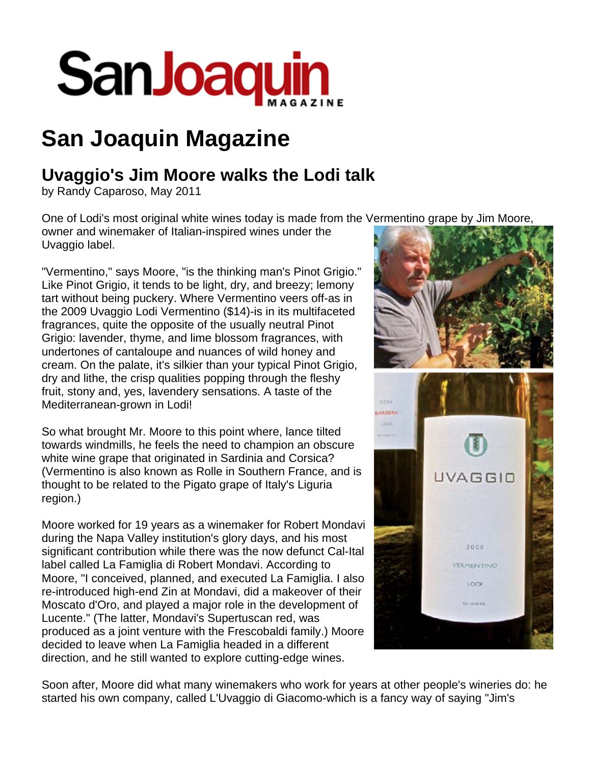

## **San Joaquin Magazine**

## **Uvaggio's Jim Moore walks the Lodi talk**

by Randy Caparoso, May 2011

One of Lodi's most original white wines today is made from the Vermentino grape by Jim Moore,

owner and winemaker of Italian-inspired wines under the Uvaggio label.

"Vermentino," says Moore, "is the thinking man's Pinot Grigio." Like Pinot Grigio, it tends to be light, dry, and breezy; lemony tart without being puckery. Where Vermentino veers off-as in the 2009 Uvaggio Lodi Vermentino (\$14)-is in its multifaceted fragrances, quite the opposite of the usually neutral Pinot Grigio: lavender, thyme, and lime blossom fragrances, with undertones of cantaloupe and nuances of wild honey and cream. On the palate, it's silkier than your typical Pinot Grigio, dry and lithe, the crisp qualities popping through the fleshy fruit, stony and, yes, lavendery sensations. A taste of the Mediterranean-grown in Lodi!

So what brought Mr. Moore to this point where, lance tilted towards windmills, he feels the need to champion an obscure white wine grape that originated in Sardinia and Corsica? (Vermentino is also known as Rolle in Southern France, and is thought to be related to the Pigato grape of Italy's Liguria region.)

Moore worked for 19 years as a winemaker for Robert Mondavi during the Napa Valley institution's glory days, and his most significant contribution while there was the now defunct Cal-Ital label called La Famiglia di Robert Mondavi. According to Moore, "I conceived, planned, and executed La Famiglia. I also re-introduced high-end Zin at Mondavi, did a makeover of their Moscato d'Oro, and played a major role in the development of Lucente." (The latter, Mondavi's Supertuscan red, was produced as a joint venture with the Frescobaldi family.) Moore decided to leave when La Famiglia headed in a different direction, and he still wanted to explore cutting-edge wines.



Soon after, Moore did what many winemakers who work for years at other people's wineries do: he started his own company, called L'Uvaggio di Giacomo-which is a fancy way of saying "Jim's